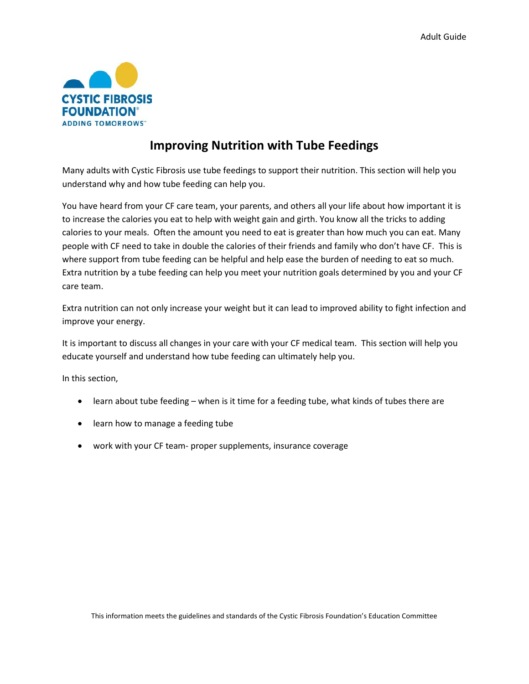

# **Improving Nutrition with Tube Feedings**

Many adults with Cystic Fibrosis use tube feedings to support their nutrition. This section will help you understand why and how tube feeding can help you.

You have heard from your CF care team, your parents, and others all your life about how important it is to increase the calories you eat to help with weight gain and girth. You know all the tricks to adding calories to your meals. Often the amount you need to eat is greater than how much you can eat. Many people with CF need to take in double the calories of their friends and family who don't have CF. This is where support from tube feeding can be helpful and help ease the burden of needing to eat so much. Extra nutrition by a tube feeding can help you meet your nutrition goals determined by you and your CF care team.

Extra nutrition can not only increase your weight but it can lead to improved ability to fight infection and improve your energy.

It is important to discuss all changes in your care with your CF medical team. This section will help you educate yourself and understand how tube feeding can ultimately help you.

In this section,

- learn about tube feeding when is it time for a feeding tube, what kinds of tubes there are
- learn how to manage a feeding tube
- work with your CF team- proper supplements, insurance coverage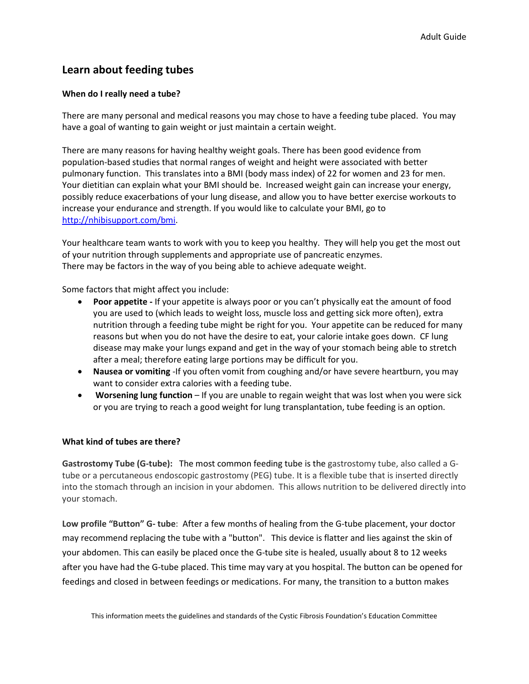# **Learn about feeding tubes**

## **When do I really need a tube?**

There are many personal and medical reasons you may chose to have a feeding tube placed. You may have a goal of wanting to gain weight or just maintain a certain weight.

There are many reasons for having healthy weight goals. There has been good evidence from population-based studies that normal ranges of weight and height were associated with better pulmonary function. This translates into a BMI (body mass index) of 22 for women and 23 for men. Your dietitian can explain what your BMI should be. Increased weight gain can increase your energy, possibly reduce exacerbations of your lung disease, and allow you to have better exercise workouts to increase your endurance and strength. If you would like to calculate your BMI, go to [http://nhibisupport.com/bmi.](http://nhibisupport.com/bmi)

Your healthcare team wants to work with you to keep you healthy. They will help you get the most out of your nutrition through supplements and appropriate use of pancreatic enzymes. There may be factors in the way of you being able to achieve adequate weight.

Some factors that might affect you include:

- **Poor appetite -** If your appetite is always poor or you can't physically eat the amount of food you are used to (which leads to weight loss, muscle loss and getting sick more often), extra nutrition through a feeding tube might be right for you. Your appetite can be reduced for many reasons but when you do not have the desire to eat, your calorie intake goes down. CF lung disease may make your lungs expand and get in the way of your stomach being able to stretch after a meal; therefore eating large portions may be difficult for you.
- **Nausea or vomiting** -If you often vomit from coughing and/or have severe heartburn, you may want to consider extra calories with a feeding tube.
- **Worsening lung function**  If you are unable to regain weight that was lost when you were sick or you are trying to reach a good weight for lung transplantation, tube feeding is an option.

### **What kind of tubes are there?**

**Gastrostomy Tube (G-tube):** The most common feeding tube is the gastrostomy tube, also called a Gtube or a percutaneous endoscopic gastrostomy (PEG) tube. It is a flexible tube that is inserted directly into the stomach through an incision in your abdomen. This allows nutrition to be delivered directly into your stomach.

**Low profile "Button" G- tube**: After a few months of healing from the G-tube placement, your doctor may recommend replacing the tube with a "button". This device is flatter and lies against the skin of your abdomen. This can easily be placed once the G-tube site is healed, usually about 8 to 12 weeks after you have had the G-tube placed. This time may vary at you hospital. The button can be opened for feedings and closed in between feedings or medications. For many, the transition to a button makes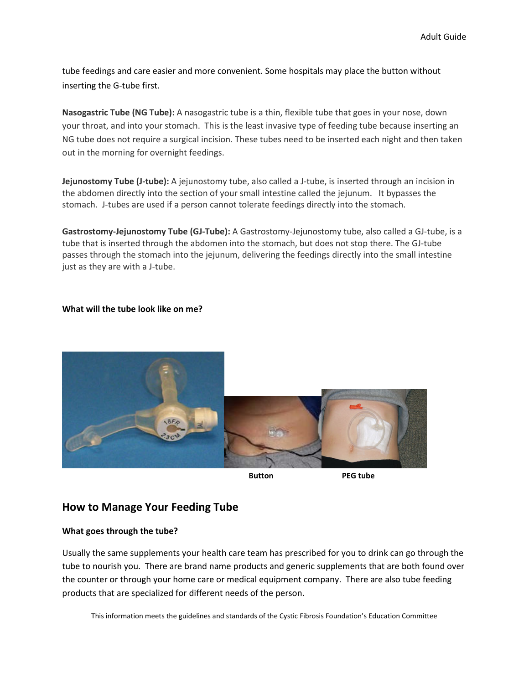tube feedings and care easier and more convenient. Some hospitals may place the button without inserting the G-tube first.

**Nasogastric Tube (NG Tube):** A nasogastric tube is a thin, flexible tube that goes in your nose, down your throat, and into your stomach. This is the least invasive type of feeding tube because inserting an NG tube does not require a surgical incision. These tubes need to be inserted each night and then taken out in the morning for overnight feedings.

**Jejunostomy Tube (J-tube):** A jejunostomy tube, also called a J-tube, is inserted through an incision in the abdomen directly into the section of your small intestine called the jejunum. It bypasses the stomach. J-tubes are used if a person cannot tolerate feedings directly into the stomach.

**Gastrostomy-Jejunostomy Tube (GJ-Tube):** A Gastrostomy-Jejunostomy tube, also called a GJ-tube, is a tube that is inserted through the abdomen into the stomach, but does not stop there. The GJ-tube passes through the stomach into the jejunum, delivering the feedings directly into the small intestine just as they are with a J-tube.

#### **What will the tube look like on me?**



**Button PEG tube**

# **How to Manage Your Feeding Tube**

#### **What goes through the tube?**

Usually the same supplements your health care team has prescribed for you to drink can go through the tube to nourish you. There are brand name products and generic supplements that are both found over the counter or through your home care or medical equipment company. There are also tube feeding products that are specialized for different needs of the person.

This information meets the guidelines and standards of the Cystic Fibrosis Foundation's Education Committee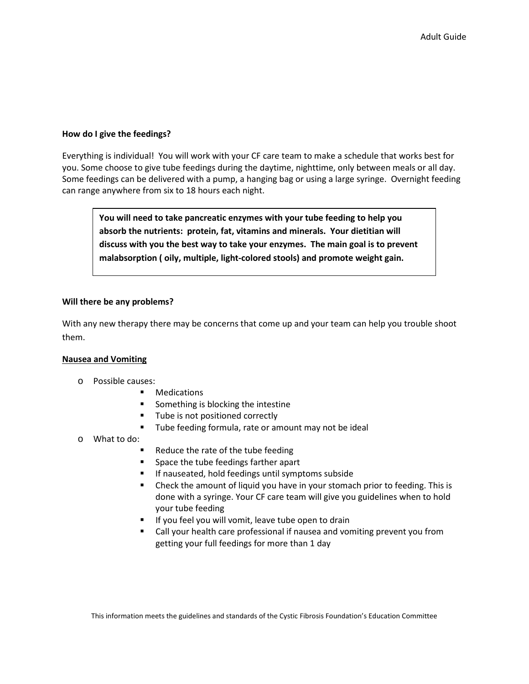#### **How do I give the feedings?**

Everything is individual! You will work with your CF care team to make a schedule that works best for you. Some choose to give tube feedings during the daytime, nighttime, only between meals or all day. Some feedings can be delivered with a pump, a hanging bag or using a large syringe. Overnight feeding can range anywhere from six to 18 hours each night.

**You will need to take pancreatic enzymes with your tube feeding to help you absorb the nutrients: protein, fat, vitamins and minerals. Your dietitian will discuss with you the best way to take your enzymes. The main goal is to prevent malabsorption ( oily, multiple, light-colored stools) and promote weight gain.**

#### **Will there be any problems?**

With any new therapy there may be concerns that come up and your team can help you trouble shoot them.

#### **Nausea and Vomiting**

- o Possible causes:
	- **•** Medications
	- Something is blocking the intestine
	- **Tube is not positioned correctly**
	- **Tube feeding formula, rate or amount may not be ideal**
- o What to do:
	- Reduce the rate of the tube feeding
	- **Space the tube feedings farther apart**
	- **If nauseated, hold feedings until symptoms subside**
	- Check the amount of liquid you have in your stomach prior to feeding. This is done with a syringe. Your CF care team will give you guidelines when to hold your tube feeding
	- If you feel you will vomit, leave tube open to drain
	- Call your health care professional if nausea and vomiting prevent you from getting your full feedings for more than 1 day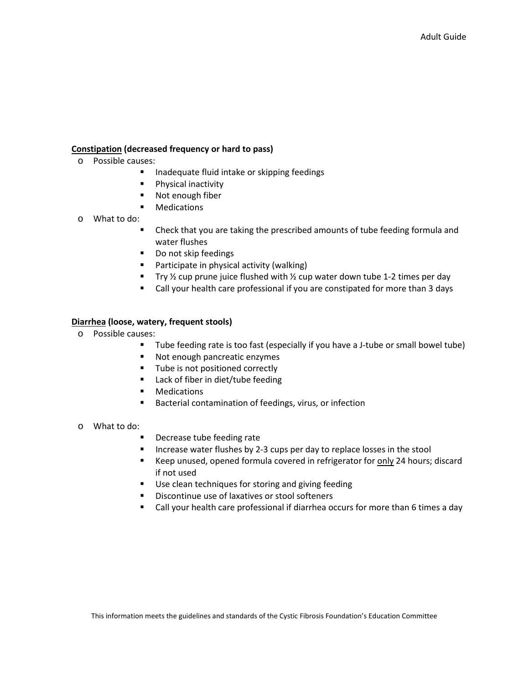## **Constipation (decreased frequency or hard to pass)**

- o Possible causes:
	- **Inadequate fluid intake or skipping feedings**
	- **Physical inactivity**
	- Not enough fiber
	- **•** Medications
- o What to do:
	- Check that you are taking the prescribed amounts of tube feeding formula and water flushes
	- Do not skip feedings
	- **Participate in physical activity (walking)**
	- Try  $\frac{1}{2}$  cup prune juice flushed with  $\frac{1}{2}$  cup water down tube 1-2 times per day
	- Call your health care professional if you are constipated for more than 3 days

### **Diarrhea (loose, watery, frequent stools)**

- o Possible causes:
	- Tube feeding rate is too fast (especially if you have a J-tube or small bowel tube)
	- Not enough pancreatic enzymes
	- Tube is not positioned correctly
	- **Lack of fiber in diet/tube feeding**
	- **•** Medications
	- Bacterial contamination of feedings, virus, or infection
- o What to do:
	- Decrease tube feeding rate
	- Increase water flushes by 2-3 cups per day to replace losses in the stool
	- Keep unused, opened formula covered in refrigerator for only 24 hours; discard if not used
	- **Use clean techniques for storing and giving feeding**
	- **Discontinue use of laxatives or stool softeners**
	- Call your health care professional if diarrhea occurs for more than 6 times a day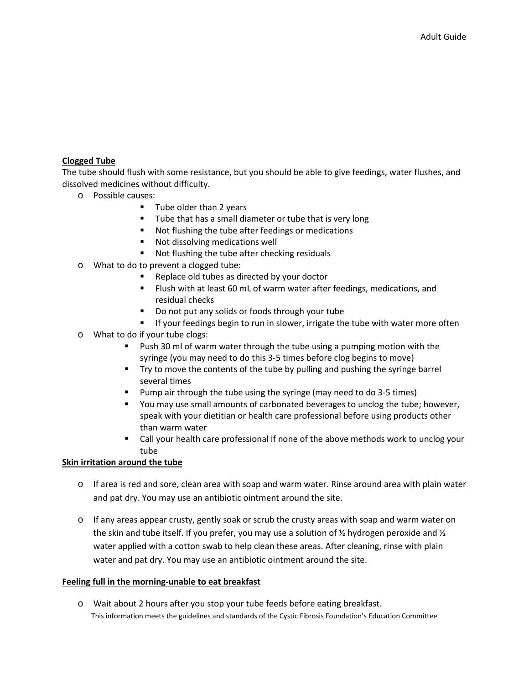## **Clogged Tube**

The tube should flush with some resistance, but you should be able to give feedings, water flushes, and dissolved medicines without difficulty.

- o Possible causes:
	- $\blacksquare$  Tube older than 2 years
	- **Tube that has a small diameter or tube that is very long**
	- Not flushing the tube after feedings or medications
	- **Not dissolving medications well**
	- Not flushing the tube after checking residuals
- o What to do to prevent a clogged tube:
	- Replace old tubes as directed by your doctor
	- **FILUSH** with at least 60 mL of warm water after feedings, medications, and residual checks
	- Do not put any solids or foods through your tube
	- **If your feedings begin to run in slower, irrigate the tube with water more often**
- o What to do if your tube clogs:
	- Push 30 ml of warm water through the tube using a pumping motion with the syringe (you may need to do this 3-5 times before clog begins to move)
	- Try to move the contents of the tube by pulling and pushing the syringe barrel several times
	- Pump air through the tube using the syringe (may need to do 3-5 times)
	- You may use small amounts of carbonated beverages to unclog the tube; however, speak with your dietitian or health care professional before using products other than warm water
	- Call your health care professional if none of the above methods work to unclog your tube

### **Skin irritation around the tube**

- o If area is red and sore, clean area with soap and warm water. Rinse around area with plain water and pat dry. You may use an antibiotic ointment around the site.
- $\circ$  If any areas appear crusty, gently soak or scrub the crusty areas with soap and warm water on the skin and tube itself. If you prefer, you may use a solution of  $\frac{1}{2}$  hydrogen peroxide and  $\frac{1}{2}$ water applied with a cotton swab to help clean these areas. After cleaning, rinse with plain water and pat dry. You may use an antibiotic ointment around the site.

### **Feeling full in the morning-unable to eat breakfast**

This information meets the guidelines and standards of the Cystic Fibrosis Foundation's Education Committee o Wait about 2 hours after you stop your tube feeds before eating breakfast.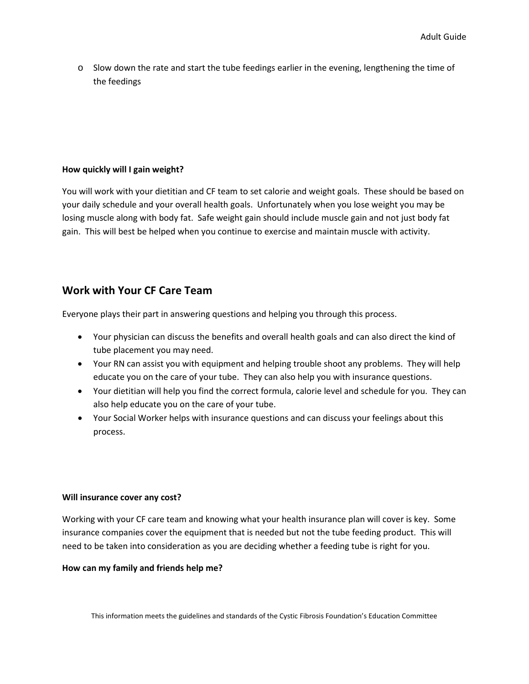o Slow down the rate and start the tube feedings earlier in the evening, lengthening the time of the feedings

#### **How quickly will I gain weight?**

You will work with your dietitian and CF team to set calorie and weight goals. These should be based on your daily schedule and your overall health goals. Unfortunately when you lose weight you may be losing muscle along with body fat. Safe weight gain should include muscle gain and not just body fat gain. This will best be helped when you continue to exercise and maintain muscle with activity.

# **Work with Your CF Care Team**

Everyone plays their part in answering questions and helping you through this process.

- Your physician can discuss the benefits and overall health goals and can also direct the kind of tube placement you may need.
- Your RN can assist you with equipment and helping trouble shoot any problems. They will help educate you on the care of your tube. They can also help you with insurance questions.
- Your dietitian will help you find the correct formula, calorie level and schedule for you. They can also help educate you on the care of your tube.
- Your Social Worker helps with insurance questions and can discuss your feelings about this process.

### **Will insurance cover any cost?**

Working with your CF care team and knowing what your health insurance plan will cover is key. Some insurance companies cover the equipment that is needed but not the tube feeding product. This will need to be taken into consideration as you are deciding whether a feeding tube is right for you.

### **How can my family and friends help me?**